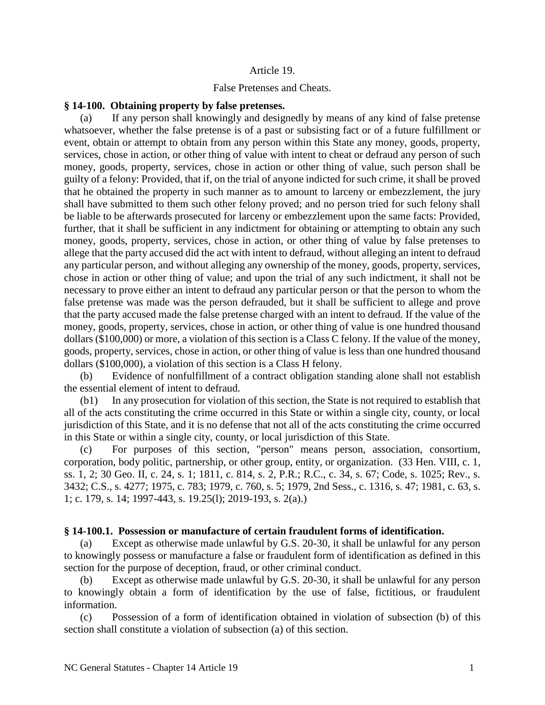### Article 19.

## False Pretenses and Cheats.

#### **§ 14-100. Obtaining property by false pretenses.**

(a) If any person shall knowingly and designedly by means of any kind of false pretense whatsoever, whether the false pretense is of a past or subsisting fact or of a future fulfillment or event, obtain or attempt to obtain from any person within this State any money, goods, property, services, chose in action, or other thing of value with intent to cheat or defraud any person of such money, goods, property, services, chose in action or other thing of value, such person shall be guilty of a felony: Provided, that if, on the trial of anyone indicted for such crime, it shall be proved that he obtained the property in such manner as to amount to larceny or embezzlement, the jury shall have submitted to them such other felony proved; and no person tried for such felony shall be liable to be afterwards prosecuted for larceny or embezzlement upon the same facts: Provided, further, that it shall be sufficient in any indictment for obtaining or attempting to obtain any such money, goods, property, services, chose in action, or other thing of value by false pretenses to allege that the party accused did the act with intent to defraud, without alleging an intent to defraud any particular person, and without alleging any ownership of the money, goods, property, services, chose in action or other thing of value; and upon the trial of any such indictment, it shall not be necessary to prove either an intent to defraud any particular person or that the person to whom the false pretense was made was the person defrauded, but it shall be sufficient to allege and prove that the party accused made the false pretense charged with an intent to defraud. If the value of the money, goods, property, services, chose in action, or other thing of value is one hundred thousand dollars (\$100,000) or more, a violation of this section is a Class C felony. If the value of the money, goods, property, services, chose in action, or other thing of value is less than one hundred thousand dollars (\$100,000), a violation of this section is a Class H felony.

(b) Evidence of nonfulfillment of a contract obligation standing alone shall not establish the essential element of intent to defraud.

(b1) In any prosecution for violation of this section, the State is not required to establish that all of the acts constituting the crime occurred in this State or within a single city, county, or local jurisdiction of this State, and it is no defense that not all of the acts constituting the crime occurred in this State or within a single city, county, or local jurisdiction of this State.

(c) For purposes of this section, "person" means person, association, consortium, corporation, body politic, partnership, or other group, entity, or organization. (33 Hen. VIII, c. 1, ss. 1, 2; 30 Geo. II, c. 24, s. 1; 1811, c. 814, s. 2, P.R.; R.C., c. 34, s. 67; Code, s. 1025; Rev., s. 3432; C.S., s. 4277; 1975, c. 783; 1979, c. 760, s. 5; 1979, 2nd Sess., c. 1316, s. 47; 1981, c. 63, s. 1; c. 179, s. 14; 1997-443, s. 19.25(l); 2019-193, s. 2(a).)

#### **§ 14-100.1. Possession or manufacture of certain fraudulent forms of identification.**

(a) Except as otherwise made unlawful by G.S. 20-30, it shall be unlawful for any person to knowingly possess or manufacture a false or fraudulent form of identification as defined in this section for the purpose of deception, fraud, or other criminal conduct.

Except as otherwise made unlawful by G.S. 20-30, it shall be unlawful for any person to knowingly obtain a form of identification by the use of false, fictitious, or fraudulent information.

(c) Possession of a form of identification obtained in violation of subsection (b) of this section shall constitute a violation of subsection (a) of this section.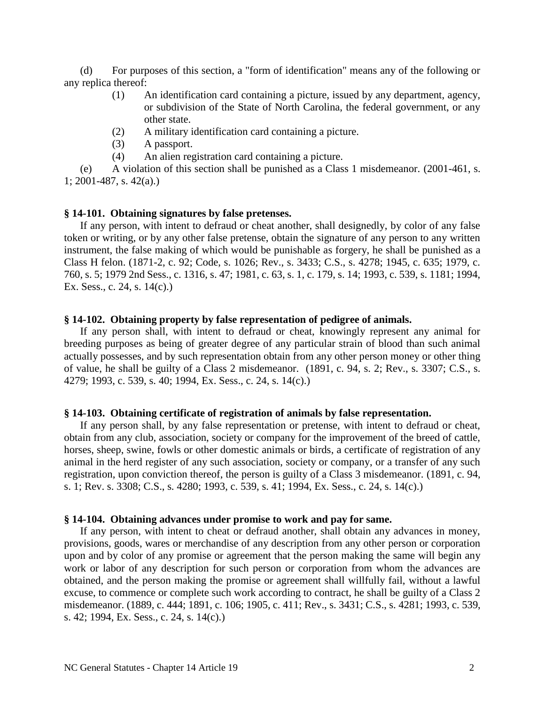(d) For purposes of this section, a "form of identification" means any of the following or any replica thereof:

- (1) An identification card containing a picture, issued by any department, agency, or subdivision of the State of North Carolina, the federal government, or any other state.
- (2) A military identification card containing a picture.
- (3) A passport.
- (4) An alien registration card containing a picture.

(e) A violation of this section shall be punished as a Class 1 misdemeanor. (2001-461, s. 1; 2001-487, s. 42(a).)

## **§ 14-101. Obtaining signatures by false pretenses.**

If any person, with intent to defraud or cheat another, shall designedly, by color of any false token or writing, or by any other false pretense, obtain the signature of any person to any written instrument, the false making of which would be punishable as forgery, he shall be punished as a Class H felon. (1871-2, c. 92; Code, s. 1026; Rev., s. 3433; C.S., s. 4278; 1945, c. 635; 1979, c. 760, s. 5; 1979 2nd Sess., c. 1316, s. 47; 1981, c. 63, s. 1, c. 179, s. 14; 1993, c. 539, s. 1181; 1994, Ex. Sess., c. 24, s. 14(c).)

## **§ 14-102. Obtaining property by false representation of pedigree of animals.**

If any person shall, with intent to defraud or cheat, knowingly represent any animal for breeding purposes as being of greater degree of any particular strain of blood than such animal actually possesses, and by such representation obtain from any other person money or other thing of value, he shall be guilty of a Class 2 misdemeanor. (1891, c. 94, s. 2; Rev., s. 3307; C.S., s. 4279; 1993, c. 539, s. 40; 1994, Ex. Sess., c. 24, s. 14(c).)

## **§ 14-103. Obtaining certificate of registration of animals by false representation.**

If any person shall, by any false representation or pretense, with intent to defraud or cheat, obtain from any club, association, society or company for the improvement of the breed of cattle, horses, sheep, swine, fowls or other domestic animals or birds, a certificate of registration of any animal in the herd register of any such association, society or company, or a transfer of any such registration, upon conviction thereof, the person is guilty of a Class 3 misdemeanor. (1891, c. 94, s. 1; Rev. s. 3308; C.S., s. 4280; 1993, c. 539, s. 41; 1994, Ex. Sess., c. 24, s. 14(c).)

## **§ 14-104. Obtaining advances under promise to work and pay for same.**

If any person, with intent to cheat or defraud another, shall obtain any advances in money, provisions, goods, wares or merchandise of any description from any other person or corporation upon and by color of any promise or agreement that the person making the same will begin any work or labor of any description for such person or corporation from whom the advances are obtained, and the person making the promise or agreement shall willfully fail, without a lawful excuse, to commence or complete such work according to contract, he shall be guilty of a Class 2 misdemeanor. (1889, c. 444; 1891, c. 106; 1905, c. 411; Rev., s. 3431; C.S., s. 4281; 1993, c. 539, s. 42; 1994, Ex. Sess., c. 24, s. 14(c).)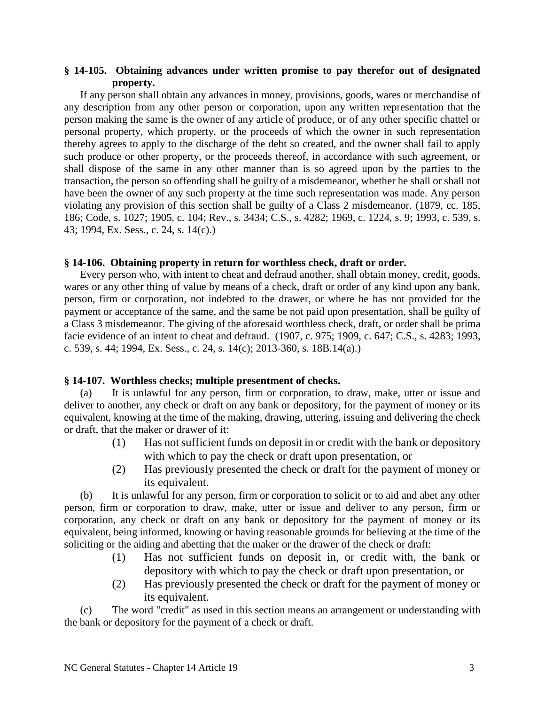## **§ 14-105. Obtaining advances under written promise to pay therefor out of designated property.**

If any person shall obtain any advances in money, provisions, goods, wares or merchandise of any description from any other person or corporation, upon any written representation that the person making the same is the owner of any article of produce, or of any other specific chattel or personal property, which property, or the proceeds of which the owner in such representation thereby agrees to apply to the discharge of the debt so created, and the owner shall fail to apply such produce or other property, or the proceeds thereof, in accordance with such agreement, or shall dispose of the same in any other manner than is so agreed upon by the parties to the transaction, the person so offending shall be guilty of a misdemeanor, whether he shall or shall not have been the owner of any such property at the time such representation was made. Any person violating any provision of this section shall be guilty of a Class 2 misdemeanor. (1879, cc. 185, 186; Code, s. 1027; 1905, c. 104; Rev., s. 3434; C.S., s. 4282; 1969, c. 1224, s. 9; 1993, c. 539, s. 43; 1994, Ex. Sess., c. 24, s. 14(c).)

## **§ 14-106. Obtaining property in return for worthless check, draft or order.**

Every person who, with intent to cheat and defraud another, shall obtain money, credit, goods, wares or any other thing of value by means of a check, draft or order of any kind upon any bank, person, firm or corporation, not indebted to the drawer, or where he has not provided for the payment or acceptance of the same, and the same be not paid upon presentation, shall be guilty of a Class 3 misdemeanor. The giving of the aforesaid worthless check, draft, or order shall be prima facie evidence of an intent to cheat and defraud. (1907, c. 975; 1909, c. 647; C.S., s. 4283; 1993, c. 539, s. 44; 1994, Ex. Sess., c. 24, s. 14(c); 2013-360, s. 18B.14(a).)

## **§ 14-107. Worthless checks; multiple presentment of checks.**

(a) It is unlawful for any person, firm or corporation, to draw, make, utter or issue and deliver to another, any check or draft on any bank or depository, for the payment of money or its equivalent, knowing at the time of the making, drawing, uttering, issuing and delivering the check or draft, that the maker or drawer of it:

- (1) Has not sufficient funds on deposit in or credit with the bank or depository with which to pay the check or draft upon presentation, or
- (2) Has previously presented the check or draft for the payment of money or its equivalent.

(b) It is unlawful for any person, firm or corporation to solicit or to aid and abet any other person, firm or corporation to draw, make, utter or issue and deliver to any person, firm or corporation, any check or draft on any bank or depository for the payment of money or its equivalent, being informed, knowing or having reasonable grounds for believing at the time of the soliciting or the aiding and abetting that the maker or the drawer of the check or draft:

- (1) Has not sufficient funds on deposit in, or credit with, the bank or depository with which to pay the check or draft upon presentation, or
- (2) Has previously presented the check or draft for the payment of money or its equivalent.

(c) The word "credit" as used in this section means an arrangement or understanding with the bank or depository for the payment of a check or draft.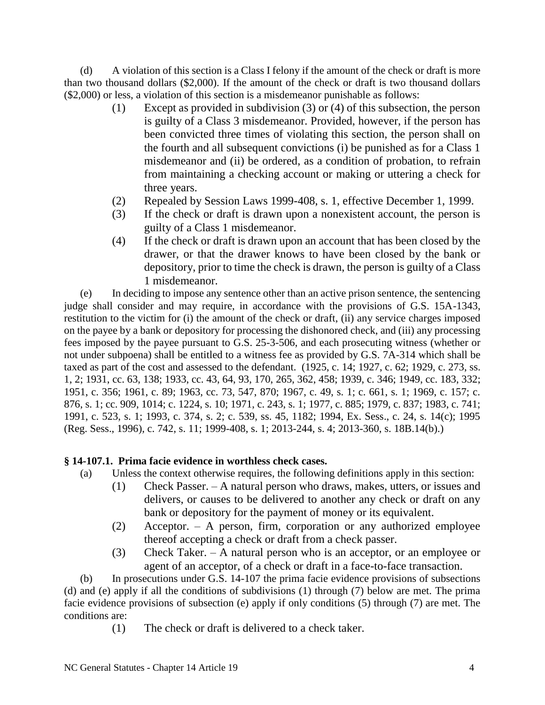(d) A violation of this section is a Class I felony if the amount of the check or draft is more than two thousand dollars (\$2,000). If the amount of the check or draft is two thousand dollars (\$2,000) or less, a violation of this section is a misdemeanor punishable as follows:

- (1) Except as provided in subdivision (3) or (4) of this subsection, the person is guilty of a Class 3 misdemeanor. Provided, however, if the person has been convicted three times of violating this section, the person shall on the fourth and all subsequent convictions (i) be punished as for a Class 1 misdemeanor and (ii) be ordered, as a condition of probation, to refrain from maintaining a checking account or making or uttering a check for three years.
- (2) Repealed by Session Laws 1999-408, s. 1, effective December 1, 1999.
- (3) If the check or draft is drawn upon a nonexistent account, the person is guilty of a Class 1 misdemeanor.
- (4) If the check or draft is drawn upon an account that has been closed by the drawer, or that the drawer knows to have been closed by the bank or depository, prior to time the check is drawn, the person is guilty of a Class 1 misdemeanor.

(e) In deciding to impose any sentence other than an active prison sentence, the sentencing judge shall consider and may require, in accordance with the provisions of G.S. 15A-1343, restitution to the victim for (i) the amount of the check or draft, (ii) any service charges imposed on the payee by a bank or depository for processing the dishonored check, and (iii) any processing fees imposed by the payee pursuant to G.S. 25-3-506, and each prosecuting witness (whether or not under subpoena) shall be entitled to a witness fee as provided by G.S. 7A-314 which shall be taxed as part of the cost and assessed to the defendant. (1925, c. 14; 1927, c. 62; 1929, c. 273, ss. 1, 2; 1931, cc. 63, 138; 1933, cc. 43, 64, 93, 170, 265, 362, 458; 1939, c. 346; 1949, cc. 183, 332; 1951, c. 356; 1961, c. 89; 1963, cc. 73, 547, 870; 1967, c. 49, s. 1; c. 661, s. 1; 1969, c. 157; c. 876, s. 1; cc. 909, 1014; c. 1224, s. 10; 1971, c. 243, s. 1; 1977, c. 885; 1979, c. 837; 1983, c. 741; 1991, c. 523, s. 1; 1993, c. 374, s. 2; c. 539, ss. 45, 1182; 1994, Ex. Sess., c. 24, s. 14(c); 1995 (Reg. Sess., 1996), c. 742, s. 11; 1999-408, s. 1; 2013-244, s. 4; 2013-360, s. 18B.14(b).)

# **§ 14-107.1. Prima facie evidence in worthless check cases.**

- (a) Unless the context otherwise requires, the following definitions apply in this section:
	- (1) Check Passer. A natural person who draws, makes, utters, or issues and delivers, or causes to be delivered to another any check or draft on any bank or depository for the payment of money or its equivalent.
	- (2) Acceptor. A person, firm, corporation or any authorized employee thereof accepting a check or draft from a check passer.
	- (3) Check Taker. A natural person who is an acceptor, or an employee or agent of an acceptor, of a check or draft in a face-to-face transaction.

(b) In prosecutions under G.S. 14-107 the prima facie evidence provisions of subsections (d) and (e) apply if all the conditions of subdivisions (1) through (7) below are met. The prima facie evidence provisions of subsection (e) apply if only conditions (5) through (7) are met. The conditions are:

(1) The check or draft is delivered to a check taker.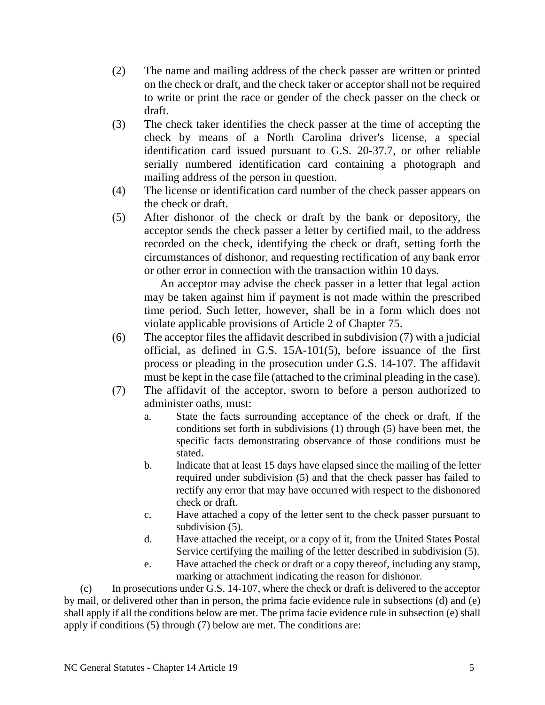- (2) The name and mailing address of the check passer are written or printed on the check or draft, and the check taker or acceptor shall not be required to write or print the race or gender of the check passer on the check or draft.
- (3) The check taker identifies the check passer at the time of accepting the check by means of a North Carolina driver's license, a special identification card issued pursuant to G.S. 20-37.7, or other reliable serially numbered identification card containing a photograph and mailing address of the person in question.
- (4) The license or identification card number of the check passer appears on the check or draft.
- (5) After dishonor of the check or draft by the bank or depository, the acceptor sends the check passer a letter by certified mail, to the address recorded on the check, identifying the check or draft, setting forth the circumstances of dishonor, and requesting rectification of any bank error or other error in connection with the transaction within 10 days.

An acceptor may advise the check passer in a letter that legal action may be taken against him if payment is not made within the prescribed time period. Such letter, however, shall be in a form which does not violate applicable provisions of Article 2 of Chapter 75.

- (6) The acceptor files the affidavit described in subdivision (7) with a judicial official, as defined in G.S. 15A-101(5), before issuance of the first process or pleading in the prosecution under G.S. 14-107. The affidavit must be kept in the case file (attached to the criminal pleading in the case).
- (7) The affidavit of the acceptor, sworn to before a person authorized to administer oaths, must:
	- a. State the facts surrounding acceptance of the check or draft. If the conditions set forth in subdivisions (1) through (5) have been met, the specific facts demonstrating observance of those conditions must be stated.
	- b. Indicate that at least 15 days have elapsed since the mailing of the letter required under subdivision (5) and that the check passer has failed to rectify any error that may have occurred with respect to the dishonored check or draft.
	- c. Have attached a copy of the letter sent to the check passer pursuant to subdivision  $(5)$ .
	- d. Have attached the receipt, or a copy of it, from the United States Postal Service certifying the mailing of the letter described in subdivision (5).
	- e. Have attached the check or draft or a copy thereof, including any stamp, marking or attachment indicating the reason for dishonor.

(c) In prosecutions under G.S. 14-107, where the check or draft is delivered to the acceptor by mail, or delivered other than in person, the prima facie evidence rule in subsections (d) and (e) shall apply if all the conditions below are met. The prima facie evidence rule in subsection (e) shall apply if conditions (5) through (7) below are met. The conditions are: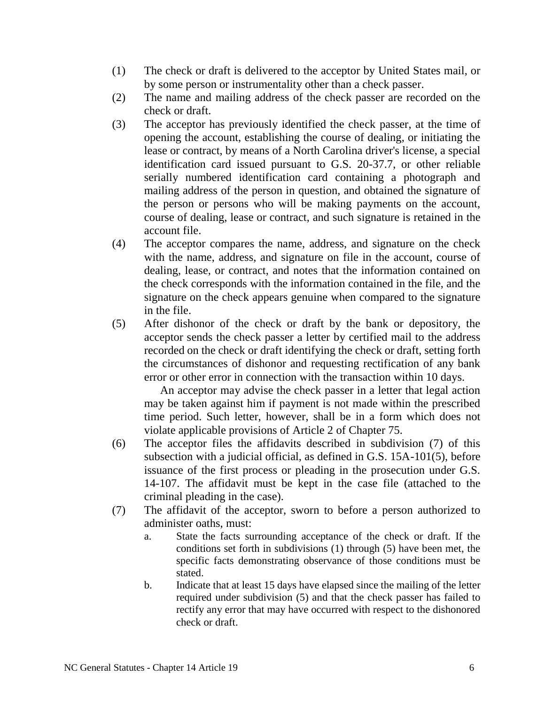- (1) The check or draft is delivered to the acceptor by United States mail, or by some person or instrumentality other than a check passer.
- (2) The name and mailing address of the check passer are recorded on the check or draft.
- (3) The acceptor has previously identified the check passer, at the time of opening the account, establishing the course of dealing, or initiating the lease or contract, by means of a North Carolina driver's license, a special identification card issued pursuant to G.S. 20-37.7, or other reliable serially numbered identification card containing a photograph and mailing address of the person in question, and obtained the signature of the person or persons who will be making payments on the account, course of dealing, lease or contract, and such signature is retained in the account file.
- (4) The acceptor compares the name, address, and signature on the check with the name, address, and signature on file in the account, course of dealing, lease, or contract, and notes that the information contained on the check corresponds with the information contained in the file, and the signature on the check appears genuine when compared to the signature in the file.
- (5) After dishonor of the check or draft by the bank or depository, the acceptor sends the check passer a letter by certified mail to the address recorded on the check or draft identifying the check or draft, setting forth the circumstances of dishonor and requesting rectification of any bank error or other error in connection with the transaction within 10 days.

An acceptor may advise the check passer in a letter that legal action may be taken against him if payment is not made within the prescribed time period. Such letter, however, shall be in a form which does not violate applicable provisions of Article 2 of Chapter 75.

- (6) The acceptor files the affidavits described in subdivision (7) of this subsection with a judicial official, as defined in G.S. 15A-101(5), before issuance of the first process or pleading in the prosecution under G.S. 14-107. The affidavit must be kept in the case file (attached to the criminal pleading in the case).
- (7) The affidavit of the acceptor, sworn to before a person authorized to administer oaths, must:
	- a. State the facts surrounding acceptance of the check or draft. If the conditions set forth in subdivisions (1) through (5) have been met, the specific facts demonstrating observance of those conditions must be stated.
	- b. Indicate that at least 15 days have elapsed since the mailing of the letter required under subdivision (5) and that the check passer has failed to rectify any error that may have occurred with respect to the dishonored check or draft.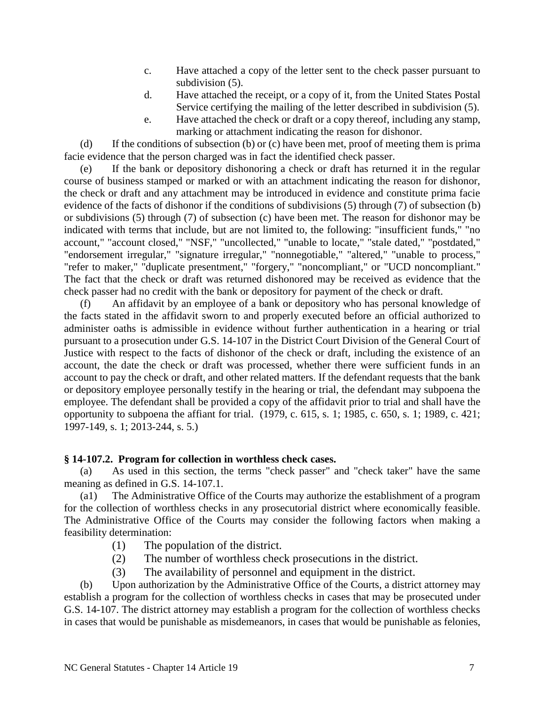- c. Have attached a copy of the letter sent to the check passer pursuant to subdivision  $(5)$ .
- d. Have attached the receipt, or a copy of it, from the United States Postal Service certifying the mailing of the letter described in subdivision (5).
- e. Have attached the check or draft or a copy thereof, including any stamp, marking or attachment indicating the reason for dishonor.

(d) If the conditions of subsection (b) or (c) have been met, proof of meeting them is prima facie evidence that the person charged was in fact the identified check passer.

(e) If the bank or depository dishonoring a check or draft has returned it in the regular course of business stamped or marked or with an attachment indicating the reason for dishonor, the check or draft and any attachment may be introduced in evidence and constitute prima facie evidence of the facts of dishonor if the conditions of subdivisions (5) through (7) of subsection (b) or subdivisions (5) through (7) of subsection (c) have been met. The reason for dishonor may be indicated with terms that include, but are not limited to, the following: "insufficient funds," "no account," "account closed," "NSF," "uncollected," "unable to locate," "stale dated," "postdated," "endorsement irregular," "signature irregular," "nonnegotiable," "altered," "unable to process," "refer to maker," "duplicate presentment," "forgery," "noncompliant," or "UCD noncompliant." The fact that the check or draft was returned dishonored may be received as evidence that the check passer had no credit with the bank or depository for payment of the check or draft.

(f) An affidavit by an employee of a bank or depository who has personal knowledge of the facts stated in the affidavit sworn to and properly executed before an official authorized to administer oaths is admissible in evidence without further authentication in a hearing or trial pursuant to a prosecution under G.S. 14-107 in the District Court Division of the General Court of Justice with respect to the facts of dishonor of the check or draft, including the existence of an account, the date the check or draft was processed, whether there were sufficient funds in an account to pay the check or draft, and other related matters. If the defendant requests that the bank or depository employee personally testify in the hearing or trial, the defendant may subpoena the employee. The defendant shall be provided a copy of the affidavit prior to trial and shall have the opportunity to subpoena the affiant for trial. (1979, c. 615, s. 1; 1985, c. 650, s. 1; 1989, c. 421; 1997-149, s. 1; 2013-244, s. 5.)

# **§ 14-107.2. Program for collection in worthless check cases.**

(a) As used in this section, the terms "check passer" and "check taker" have the same meaning as defined in G.S. 14-107.1.

(a1) The Administrative Office of the Courts may authorize the establishment of a program for the collection of worthless checks in any prosecutorial district where economically feasible. The Administrative Office of the Courts may consider the following factors when making a feasibility determination:

- (1) The population of the district.
- (2) The number of worthless check prosecutions in the district.
- (3) The availability of personnel and equipment in the district.

(b) Upon authorization by the Administrative Office of the Courts, a district attorney may establish a program for the collection of worthless checks in cases that may be prosecuted under G.S. 14-107. The district attorney may establish a program for the collection of worthless checks in cases that would be punishable as misdemeanors, in cases that would be punishable as felonies,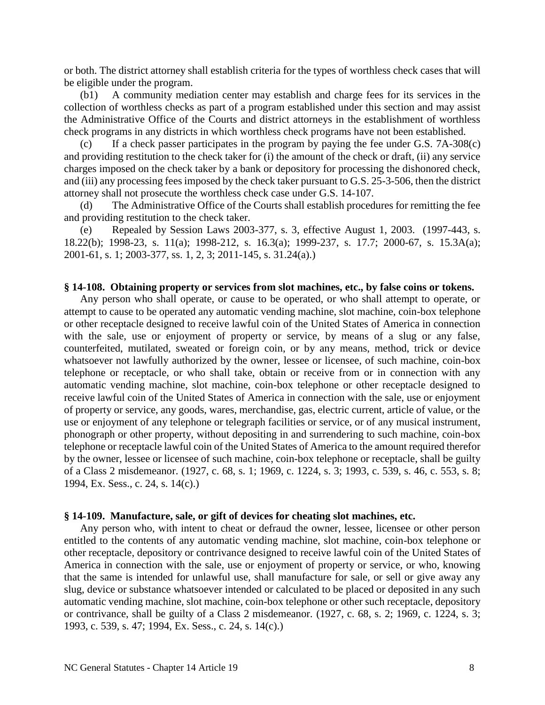or both. The district attorney shall establish criteria for the types of worthless check cases that will be eligible under the program.

(b1) A community mediation center may establish and charge fees for its services in the collection of worthless checks as part of a program established under this section and may assist the Administrative Office of the Courts and district attorneys in the establishment of worthless check programs in any districts in which worthless check programs have not been established.

(c) If a check passer participates in the program by paying the fee under G.S. 7A-308(c) and providing restitution to the check taker for (i) the amount of the check or draft, (ii) any service charges imposed on the check taker by a bank or depository for processing the dishonored check, and (iii) any processing fees imposed by the check taker pursuant to G.S. 25-3-506, then the district attorney shall not prosecute the worthless check case under G.S. 14-107.

(d) The Administrative Office of the Courts shall establish procedures for remitting the fee and providing restitution to the check taker.

(e) Repealed by Session Laws 2003-377, s. 3, effective August 1, 2003. (1997-443, s. 18.22(b); 1998-23, s. 11(a); 1998-212, s. 16.3(a); 1999-237, s. 17.7; 2000-67, s. 15.3A(a); 2001-61, s. 1; 2003-377, ss. 1, 2, 3; 2011-145, s. 31.24(a).)

#### **§ 14-108. Obtaining property or services from slot machines, etc., by false coins or tokens.**

Any person who shall operate, or cause to be operated, or who shall attempt to operate, or attempt to cause to be operated any automatic vending machine, slot machine, coin-box telephone or other receptacle designed to receive lawful coin of the United States of America in connection with the sale, use or enjoyment of property or service, by means of a slug or any false, counterfeited, mutilated, sweated or foreign coin, or by any means, method, trick or device whatsoever not lawfully authorized by the owner, lessee or licensee, of such machine, coin-box telephone or receptacle, or who shall take, obtain or receive from or in connection with any automatic vending machine, slot machine, coin-box telephone or other receptacle designed to receive lawful coin of the United States of America in connection with the sale, use or enjoyment of property or service, any goods, wares, merchandise, gas, electric current, article of value, or the use or enjoyment of any telephone or telegraph facilities or service, or of any musical instrument, phonograph or other property, without depositing in and surrendering to such machine, coin-box telephone or receptacle lawful coin of the United States of America to the amount required therefor by the owner, lessee or licensee of such machine, coin-box telephone or receptacle, shall be guilty of a Class 2 misdemeanor. (1927, c. 68, s. 1; 1969, c. 1224, s. 3; 1993, c. 539, s. 46, c. 553, s. 8; 1994, Ex. Sess., c. 24, s. 14(c).)

#### **§ 14-109. Manufacture, sale, or gift of devices for cheating slot machines, etc.**

Any person who, with intent to cheat or defraud the owner, lessee, licensee or other person entitled to the contents of any automatic vending machine, slot machine, coin-box telephone or other receptacle, depository or contrivance designed to receive lawful coin of the United States of America in connection with the sale, use or enjoyment of property or service, or who, knowing that the same is intended for unlawful use, shall manufacture for sale, or sell or give away any slug, device or substance whatsoever intended or calculated to be placed or deposited in any such automatic vending machine, slot machine, coin-box telephone or other such receptacle, depository or contrivance, shall be guilty of a Class 2 misdemeanor. (1927, c. 68, s. 2; 1969, c. 1224, s. 3; 1993, c. 539, s. 47; 1994, Ex. Sess., c. 24, s. 14(c).)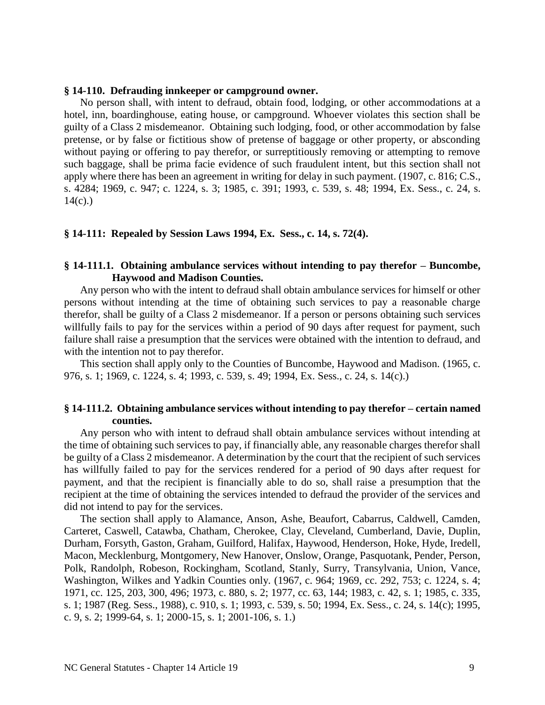### **§ 14-110. Defrauding innkeeper or campground owner.**

No person shall, with intent to defraud, obtain food, lodging, or other accommodations at a hotel, inn, boardinghouse, eating house, or campground. Whoever violates this section shall be guilty of a Class 2 misdemeanor. Obtaining such lodging, food, or other accommodation by false pretense, or by false or fictitious show of pretense of baggage or other property, or absconding without paying or offering to pay therefor, or surreptitiously removing or attempting to remove such baggage, shall be prima facie evidence of such fraudulent intent, but this section shall not apply where there has been an agreement in writing for delay in such payment. (1907, c. 816; C.S., s. 4284; 1969, c. 947; c. 1224, s. 3; 1985, c. 391; 1993, c. 539, s. 48; 1994, Ex. Sess., c. 24, s.  $14(c)$ .)

## **§ 14-111: Repealed by Session Laws 1994, Ex. Sess., c. 14, s. 72(4).**

## **§ 14-111.1. Obtaining ambulance services without intending to pay therefor – Buncombe, Haywood and Madison Counties.**

Any person who with the intent to defraud shall obtain ambulance services for himself or other persons without intending at the time of obtaining such services to pay a reasonable charge therefor, shall be guilty of a Class 2 misdemeanor. If a person or persons obtaining such services willfully fails to pay for the services within a period of 90 days after request for payment, such failure shall raise a presumption that the services were obtained with the intention to defraud, and with the intention not to pay therefor.

This section shall apply only to the Counties of Buncombe, Haywood and Madison. (1965, c. 976, s. 1; 1969, c. 1224, s. 4; 1993, c. 539, s. 49; 1994, Ex. Sess., c. 24, s. 14(c).)

## **§ 14-111.2. Obtaining ambulance services without intending to pay therefor – certain named counties.**

Any person who with intent to defraud shall obtain ambulance services without intending at the time of obtaining such services to pay, if financially able, any reasonable charges therefor shall be guilty of a Class 2 misdemeanor. A determination by the court that the recipient of such services has willfully failed to pay for the services rendered for a period of 90 days after request for payment, and that the recipient is financially able to do so, shall raise a presumption that the recipient at the time of obtaining the services intended to defraud the provider of the services and did not intend to pay for the services.

The section shall apply to Alamance, Anson, Ashe, Beaufort, Cabarrus, Caldwell, Camden, Carteret, Caswell, Catawba, Chatham, Cherokee, Clay, Cleveland, Cumberland, Davie, Duplin, Durham, Forsyth, Gaston, Graham, Guilford, Halifax, Haywood, Henderson, Hoke, Hyde, Iredell, Macon, Mecklenburg, Montgomery, New Hanover, Onslow, Orange, Pasquotank, Pender, Person, Polk, Randolph, Robeson, Rockingham, Scotland, Stanly, Surry, Transylvania, Union, Vance, Washington, Wilkes and Yadkin Counties only. (1967, c. 964; 1969, cc. 292, 753; c. 1224, s. 4; 1971, cc. 125, 203, 300, 496; 1973, c. 880, s. 2; 1977, cc. 63, 144; 1983, c. 42, s. 1; 1985, c. 335, s. 1; 1987 (Reg. Sess., 1988), c. 910, s. 1; 1993, c. 539, s. 50; 1994, Ex. Sess., c. 24, s. 14(c); 1995, c. 9, s. 2; 1999-64, s. 1; 2000-15, s. 1; 2001-106, s. 1.)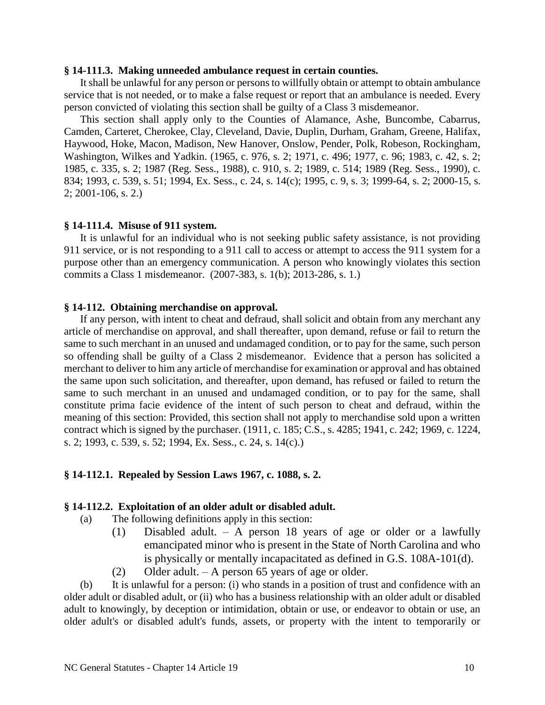### **§ 14-111.3. Making unneeded ambulance request in certain counties.**

It shall be unlawful for any person or persons to willfully obtain or attempt to obtain ambulance service that is not needed, or to make a false request or report that an ambulance is needed. Every person convicted of violating this section shall be guilty of a Class 3 misdemeanor.

This section shall apply only to the Counties of Alamance, Ashe, Buncombe, Cabarrus, Camden, Carteret, Cherokee, Clay, Cleveland, Davie, Duplin, Durham, Graham, Greene, Halifax, Haywood, Hoke, Macon, Madison, New Hanover, Onslow, Pender, Polk, Robeson, Rockingham, Washington, Wilkes and Yadkin. (1965, c. 976, s. 2; 1971, c. 496; 1977, c. 96; 1983, c. 42, s. 2; 1985, c. 335, s. 2; 1987 (Reg. Sess., 1988), c. 910, s. 2; 1989, c. 514; 1989 (Reg. Sess., 1990), c. 834; 1993, c. 539, s. 51; 1994, Ex. Sess., c. 24, s. 14(c); 1995, c. 9, s. 3; 1999-64, s. 2; 2000-15, s. 2; 2001-106, s. 2.)

### **§ 14-111.4. Misuse of 911 system.**

It is unlawful for an individual who is not seeking public safety assistance, is not providing 911 service, or is not responding to a 911 call to access or attempt to access the 911 system for a purpose other than an emergency communication. A person who knowingly violates this section commits a Class 1 misdemeanor. (2007-383, s. 1(b); 2013-286, s. 1.)

#### **§ 14-112. Obtaining merchandise on approval.**

If any person, with intent to cheat and defraud, shall solicit and obtain from any merchant any article of merchandise on approval, and shall thereafter, upon demand, refuse or fail to return the same to such merchant in an unused and undamaged condition, or to pay for the same, such person so offending shall be guilty of a Class 2 misdemeanor. Evidence that a person has solicited a merchant to deliver to him any article of merchandise for examination or approval and has obtained the same upon such solicitation, and thereafter, upon demand, has refused or failed to return the same to such merchant in an unused and undamaged condition, or to pay for the same, shall constitute prima facie evidence of the intent of such person to cheat and defraud, within the meaning of this section: Provided, this section shall not apply to merchandise sold upon a written contract which is signed by the purchaser. (1911, c. 185; C.S., s. 4285; 1941, c. 242; 1969, c. 1224, s. 2; 1993, c. 539, s. 52; 1994, Ex. Sess., c. 24, s. 14(c).)

## **§ 14-112.1. Repealed by Session Laws 1967, c. 1088, s. 2.**

### **§ 14-112.2. Exploitation of an older adult or disabled adult.**

- (a) The following definitions apply in this section:
	- (1) Disabled adult. A person 18 years of age or older or a lawfully emancipated minor who is present in the State of North Carolina and who is physically or mentally incapacitated as defined in G.S. 108A-101(d).
	- (2) Older adult.  $A$  person 65 years of age or older.

(b) It is unlawful for a person: (i) who stands in a position of trust and confidence with an older adult or disabled adult, or (ii) who has a business relationship with an older adult or disabled adult to knowingly, by deception or intimidation, obtain or use, or endeavor to obtain or use, an older adult's or disabled adult's funds, assets, or property with the intent to temporarily or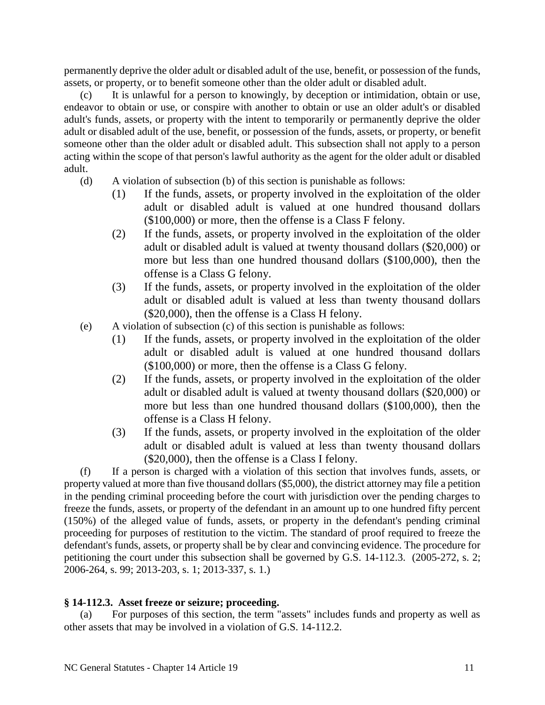permanently deprive the older adult or disabled adult of the use, benefit, or possession of the funds, assets, or property, or to benefit someone other than the older adult or disabled adult.

(c) It is unlawful for a person to knowingly, by deception or intimidation, obtain or use, endeavor to obtain or use, or conspire with another to obtain or use an older adult's or disabled adult's funds, assets, or property with the intent to temporarily or permanently deprive the older adult or disabled adult of the use, benefit, or possession of the funds, assets, or property, or benefit someone other than the older adult or disabled adult. This subsection shall not apply to a person acting within the scope of that person's lawful authority as the agent for the older adult or disabled adult.

- (d) A violation of subsection (b) of this section is punishable as follows:
	- (1) If the funds, assets, or property involved in the exploitation of the older adult or disabled adult is valued at one hundred thousand dollars (\$100,000) or more, then the offense is a Class F felony.
	- (2) If the funds, assets, or property involved in the exploitation of the older adult or disabled adult is valued at twenty thousand dollars (\$20,000) or more but less than one hundred thousand dollars (\$100,000), then the offense is a Class G felony.
	- (3) If the funds, assets, or property involved in the exploitation of the older adult or disabled adult is valued at less than twenty thousand dollars (\$20,000), then the offense is a Class H felony.
- (e) A violation of subsection (c) of this section is punishable as follows:
	- (1) If the funds, assets, or property involved in the exploitation of the older adult or disabled adult is valued at one hundred thousand dollars (\$100,000) or more, then the offense is a Class G felony.
	- (2) If the funds, assets, or property involved in the exploitation of the older adult or disabled adult is valued at twenty thousand dollars (\$20,000) or more but less than one hundred thousand dollars (\$100,000), then the offense is a Class H felony.
	- (3) If the funds, assets, or property involved in the exploitation of the older adult or disabled adult is valued at less than twenty thousand dollars (\$20,000), then the offense is a Class I felony.

(f) If a person is charged with a violation of this section that involves funds, assets, or property valued at more than five thousand dollars (\$5,000), the district attorney may file a petition in the pending criminal proceeding before the court with jurisdiction over the pending charges to freeze the funds, assets, or property of the defendant in an amount up to one hundred fifty percent (150%) of the alleged value of funds, assets, or property in the defendant's pending criminal proceeding for purposes of restitution to the victim. The standard of proof required to freeze the defendant's funds, assets, or property shall be by clear and convincing evidence. The procedure for petitioning the court under this subsection shall be governed by G.S. 14-112.3. (2005-272, s. 2; 2006-264, s. 99; 2013-203, s. 1; 2013-337, s. 1.)

## **§ 14-112.3. Asset freeze or seizure; proceeding.**

(a) For purposes of this section, the term "assets" includes funds and property as well as other assets that may be involved in a violation of G.S. 14-112.2.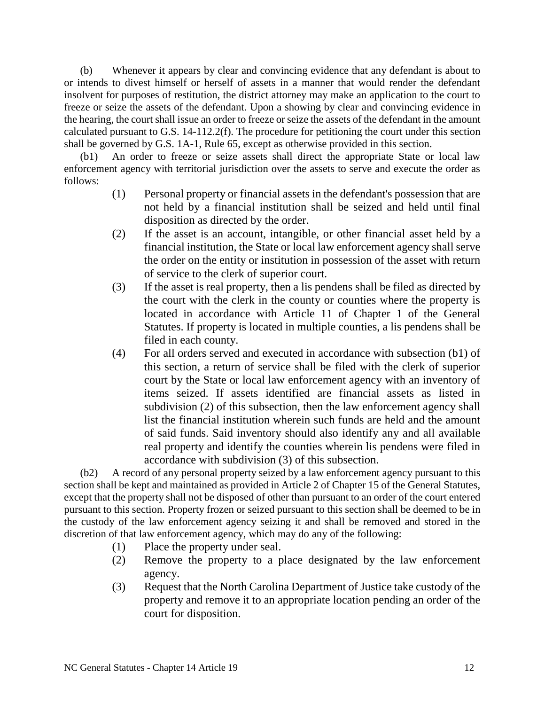(b) Whenever it appears by clear and convincing evidence that any defendant is about to or intends to divest himself or herself of assets in a manner that would render the defendant insolvent for purposes of restitution, the district attorney may make an application to the court to freeze or seize the assets of the defendant. Upon a showing by clear and convincing evidence in the hearing, the court shall issue an order to freeze or seize the assets of the defendant in the amount calculated pursuant to G.S. 14-112.2(f). The procedure for petitioning the court under this section shall be governed by G.S. 1A-1, Rule 65, except as otherwise provided in this section.

(b1) An order to freeze or seize assets shall direct the appropriate State or local law enforcement agency with territorial jurisdiction over the assets to serve and execute the order as follows:

- (1) Personal property or financial assets in the defendant's possession that are not held by a financial institution shall be seized and held until final disposition as directed by the order.
- (2) If the asset is an account, intangible, or other financial asset held by a financial institution, the State or local law enforcement agency shall serve the order on the entity or institution in possession of the asset with return of service to the clerk of superior court.
- (3) If the asset is real property, then a lis pendens shall be filed as directed by the court with the clerk in the county or counties where the property is located in accordance with Article 11 of Chapter 1 of the General Statutes. If property is located in multiple counties, a lis pendens shall be filed in each county.
- (4) For all orders served and executed in accordance with subsection (b1) of this section, a return of service shall be filed with the clerk of superior court by the State or local law enforcement agency with an inventory of items seized. If assets identified are financial assets as listed in subdivision (2) of this subsection, then the law enforcement agency shall list the financial institution wherein such funds are held and the amount of said funds. Said inventory should also identify any and all available real property and identify the counties wherein lis pendens were filed in accordance with subdivision (3) of this subsection.

(b2) A record of any personal property seized by a law enforcement agency pursuant to this section shall be kept and maintained as provided in Article 2 of Chapter 15 of the General Statutes, except that the property shall not be disposed of other than pursuant to an order of the court entered pursuant to this section. Property frozen or seized pursuant to this section shall be deemed to be in the custody of the law enforcement agency seizing it and shall be removed and stored in the discretion of that law enforcement agency, which may do any of the following:

- (1) Place the property under seal.
- (2) Remove the property to a place designated by the law enforcement agency.
- (3) Request that the North Carolina Department of Justice take custody of the property and remove it to an appropriate location pending an order of the court for disposition.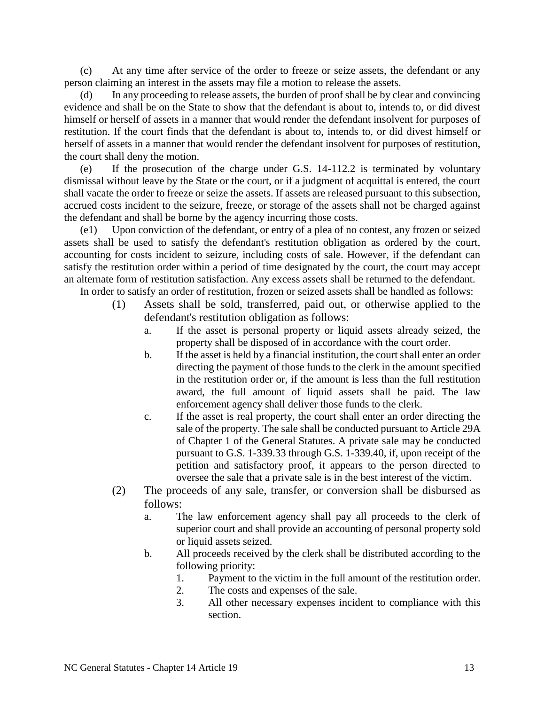(c) At any time after service of the order to freeze or seize assets, the defendant or any person claiming an interest in the assets may file a motion to release the assets.

(d) In any proceeding to release assets, the burden of proof shall be by clear and convincing evidence and shall be on the State to show that the defendant is about to, intends to, or did divest himself or herself of assets in a manner that would render the defendant insolvent for purposes of restitution. If the court finds that the defendant is about to, intends to, or did divest himself or herself of assets in a manner that would render the defendant insolvent for purposes of restitution, the court shall deny the motion.

(e) If the prosecution of the charge under G.S. 14-112.2 is terminated by voluntary dismissal without leave by the State or the court, or if a judgment of acquittal is entered, the court shall vacate the order to freeze or seize the assets. If assets are released pursuant to this subsection, accrued costs incident to the seizure, freeze, or storage of the assets shall not be charged against the defendant and shall be borne by the agency incurring those costs.

(e1) Upon conviction of the defendant, or entry of a plea of no contest, any frozen or seized assets shall be used to satisfy the defendant's restitution obligation as ordered by the court, accounting for costs incident to seizure, including costs of sale. However, if the defendant can satisfy the restitution order within a period of time designated by the court, the court may accept an alternate form of restitution satisfaction. Any excess assets shall be returned to the defendant. In order to satisfy an order of restitution, frozen or seized assets shall be handled as follows:

- (1) Assets shall be sold, transferred, paid out, or otherwise applied to the defendant's restitution obligation as follows:
	- a. If the asset is personal property or liquid assets already seized, the property shall be disposed of in accordance with the court order.
	- b. If the asset is held by a financial institution, the court shall enter an order directing the payment of those funds to the clerk in the amount specified in the restitution order or, if the amount is less than the full restitution award, the full amount of liquid assets shall be paid. The law enforcement agency shall deliver those funds to the clerk.
	- c. If the asset is real property, the court shall enter an order directing the sale of the property. The sale shall be conducted pursuant to Article 29A of Chapter 1 of the General Statutes. A private sale may be conducted pursuant to G.S. 1-339.33 through G.S. 1-339.40, if, upon receipt of the petition and satisfactory proof, it appears to the person directed to oversee the sale that a private sale is in the best interest of the victim.
- (2) The proceeds of any sale, transfer, or conversion shall be disbursed as follows:
	- a. The law enforcement agency shall pay all proceeds to the clerk of superior court and shall provide an accounting of personal property sold or liquid assets seized.
	- b. All proceeds received by the clerk shall be distributed according to the following priority:
		- 1. Payment to the victim in the full amount of the restitution order.
		- 2. The costs and expenses of the sale.
		- 3. All other necessary expenses incident to compliance with this section.